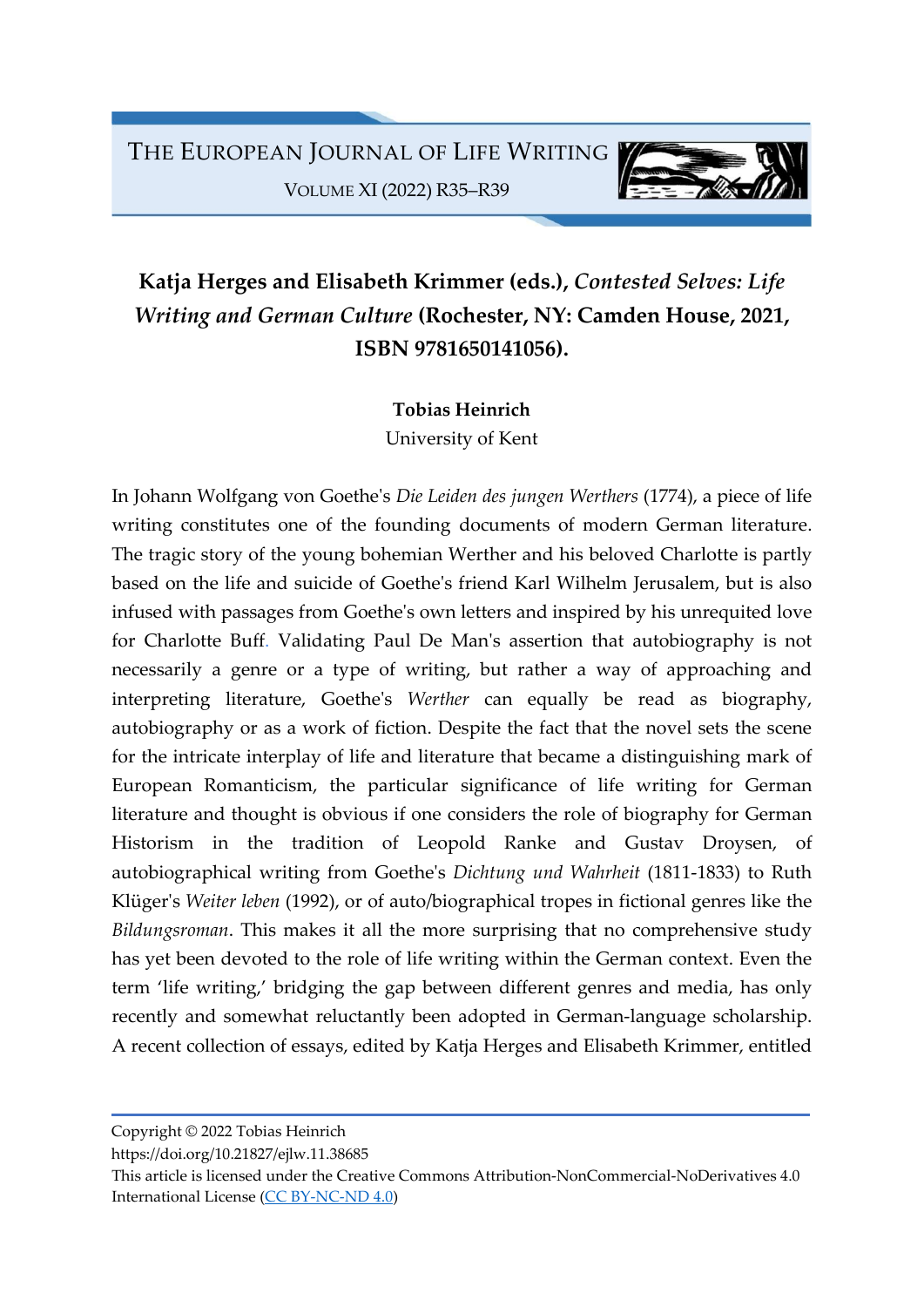

## Katja Herges and Elisabeth Krimmer (eds.), Contested Selves: Life Writing and German Culture (Rochester, NY: Camden House, 2021, ISBN 9781650141056).

## Tobias Heinrich

University of Kent

In Johann Wolfgang von Goethe's Die Leiden des jungen Werthers (1774), a piece of life writing constitutes one of the founding documents of modern German literature. The tragic story of the young bohemian Werther and his beloved Charlotte is partly based on the life and suicide of Goethe's friend Karl Wilhelm Jerusalem, but is also infused with passages from Goethe's own letters and inspired by his unrequited love for Charlotte Buff. Validating Paul De Man's assertion that autobiography is not necessarily a genre or a type of writing, but rather a way of approaching and interpreting literature, Goethe's Werther can equally be read as biography, autobiography or as a work of fiction. Despite the fact that the novel sets the scene for the intricate interplay of life and literature that became a distinguishing mark of European Romanticism, the particular significance of life writing for German literature and thought is obvious if one considers the role of biography for German Historism in the tradition of Leopold Ranke and Gustav Droysen, of autobiographical writing from Goethe's Dichtung und Wahrheit (1811-1833) to Ruth Klüger's Weiter leben (1992), or of auto/biographical tropes in fictional genres like the Bildungsroman. This makes it all the more surprising that no comprehensive study has yet been devoted to the role of life writing within the German context. Even the term 'life writing,' bridging the gap between different genres and media, has only recently and somewhat reluctantly been adopted in German-language scholarship. A recent collection of essays, edited by Katja Herges and Elisabeth Krimmer, entitled

Copyright © 2022 Tobias Heinrich

https://doi.org/10.21827/ejlw.11.38685

This article is licensed under the Creative Commons Attribution-NonCommercial-NoDerivatives 4.0 International License (CC BY-NC-ND 4.0)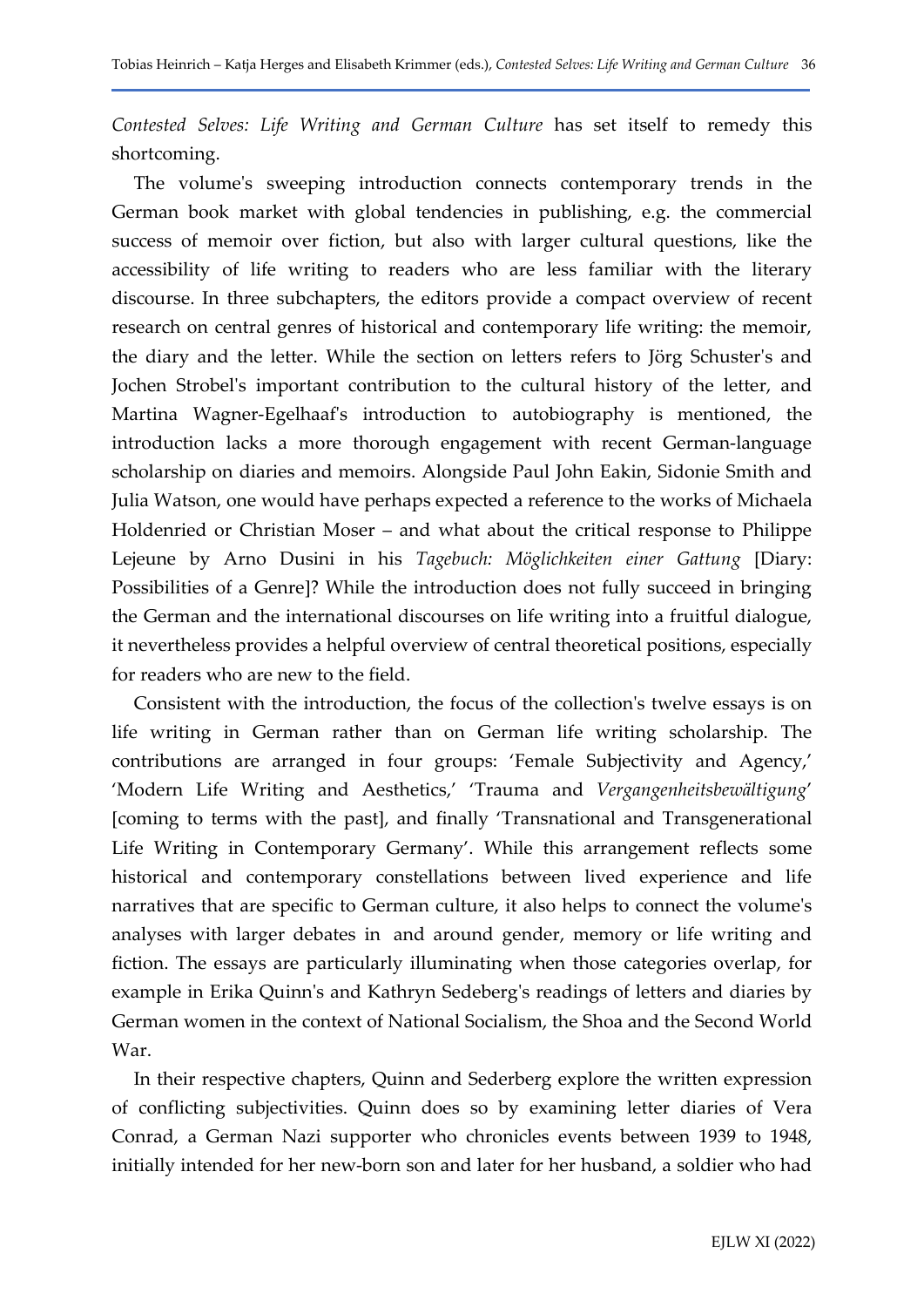Contested Selves: Life Writing and German Culture has set itself to remedy this shortcoming.

The volume's sweeping introduction connects contemporary trends in the German book market with global tendencies in publishing, e.g. the commercial success of memoir over fiction, but also with larger cultural questions, like the accessibility of life writing to readers who are less familiar with the literary discourse. In three subchapters, the editors provide a compact overview of recent research on central genres of historical and contemporary life writing: the memoir, the diary and the letter. While the section on letters refers to Jörg Schuster's and Jochen Strobel's important contribution to the cultural history of the letter, and Martina Wagner-Egelhaaf's introduction to autobiography is mentioned, the introduction lacks a more thorough engagement with recent German-language scholarship on diaries and memoirs. Alongside Paul John Eakin, Sidonie Smith and Julia Watson, one would have perhaps expected a reference to the works of Michaela Holdenried or Christian Moser – and what about the critical response to Philippe Lejeune by Arno Dusini in his Tagebuch: Möglichkeiten einer Gattung [Diary: Possibilities of a Genre]? While the introduction does not fully succeed in bringing the German and the international discourses on life writing into a fruitful dialogue, it nevertheless provides a helpful overview of central theoretical positions, especially for readers who are new to the field.

Consistent with the introduction, the focus of the collection's twelve essays is on life writing in German rather than on German life writing scholarship. The contributions are arranged in four groups: 'Female Subjectivity and Agency,' 'Modern Life Writing and Aesthetics,' 'Trauma and Vergangenheitsbewältigung' [coming to terms with the past], and finally 'Transnational and Transgenerational Life Writing in Contemporary Germany'. While this arrangement reflects some historical and contemporary constellations between lived experience and life narratives that are specific to German culture, it also helps to connect the volume's analyses with larger debates in and around gender, memory or life writing and fiction. The essays are particularly illuminating when those categories overlap, for example in Erika Quinn's and Kathryn Sedeberg's readings of letters and diaries by German women in the context of National Socialism, the Shoa and the Second World War.

In their respective chapters, Quinn and Sederberg explore the written expression of conflicting subjectivities. Quinn does so by examining letter diaries of Vera Conrad, a German Nazi supporter who chronicles events between 1939 to 1948, initially intended for her new-born son and later for her husband, a soldier who had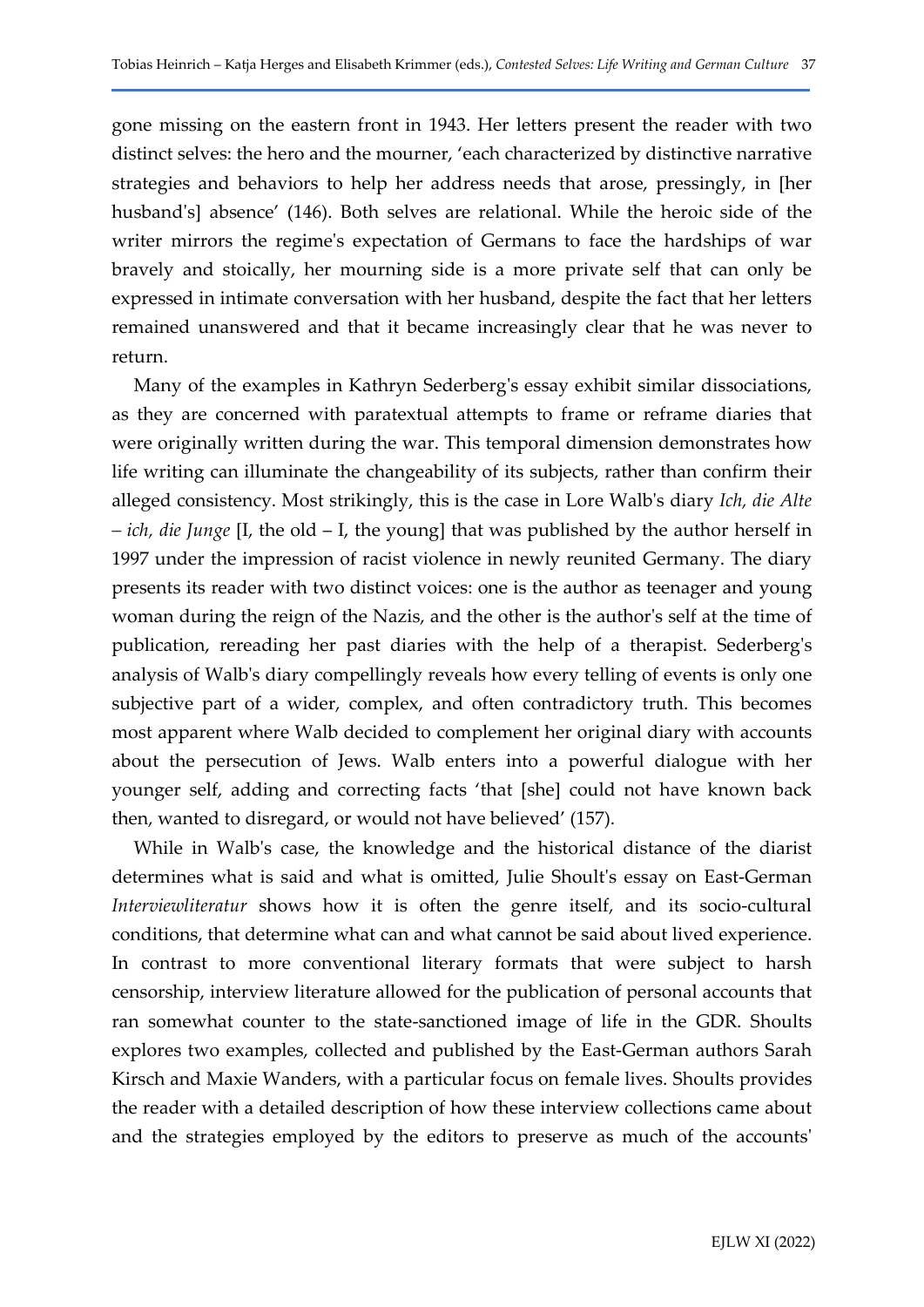gone missing on the eastern front in 1943. Her letters present the reader with two distinct selves: the hero and the mourner, 'each characterized by distinctive narrative strategies and behaviors to help her address needs that arose, pressingly, in [her husband's] absence' (146). Both selves are relational. While the heroic side of the writer mirrors the regime's expectation of Germans to face the hardships of war bravely and stoically, her mourning side is a more private self that can only be expressed in intimate conversation with her husband, despite the fact that her letters remained unanswered and that it became increasingly clear that he was never to return.

Many of the examples in Kathryn Sederberg's essay exhibit similar dissociations, as they are concerned with paratextual attempts to frame or reframe diaries that were originally written during the war. This temporal dimension demonstrates how life writing can illuminate the changeability of its subjects, rather than confirm their alleged consistency. Most strikingly, this is the case in Lore Walb's diary Ich, die Alte *– ich, die Junge* [I, the old – I, the young] that was published by the author herself in 1997 under the impression of racist violence in newly reunited Germany. The diary presents its reader with two distinct voices: one is the author as teenager and young woman during the reign of the Nazis, and the other is the author's self at the time of publication, rereading her past diaries with the help of a therapist. Sederberg's analysis of Walb's diary compellingly reveals how every telling of events is only one subjective part of a wider, complex, and often contradictory truth. This becomes most apparent where Walb decided to complement her original diary with accounts about the persecution of Jews. Walb enters into a powerful dialogue with her younger self, adding and correcting facts 'that [she] could not have known back then, wanted to disregard, or would not have believed' (157).

While in Walb's case, the knowledge and the historical distance of the diarist determines what is said and what is omitted, Julie Shoult's essay on East-German Interviewliteratur shows how it is often the genre itself, and its socio-cultural conditions, that determine what can and what cannot be said about lived experience. In contrast to more conventional literary formats that were subject to harsh censorship, interview literature allowed for the publication of personal accounts that ran somewhat counter to the state-sanctioned image of life in the GDR. Shoults explores two examples, collected and published by the East-German authors Sarah Kirsch and Maxie Wanders, with a particular focus on female lives. Shoults provides the reader with a detailed description of how these interview collections came about and the strategies employed by the editors to preserve as much of the accounts'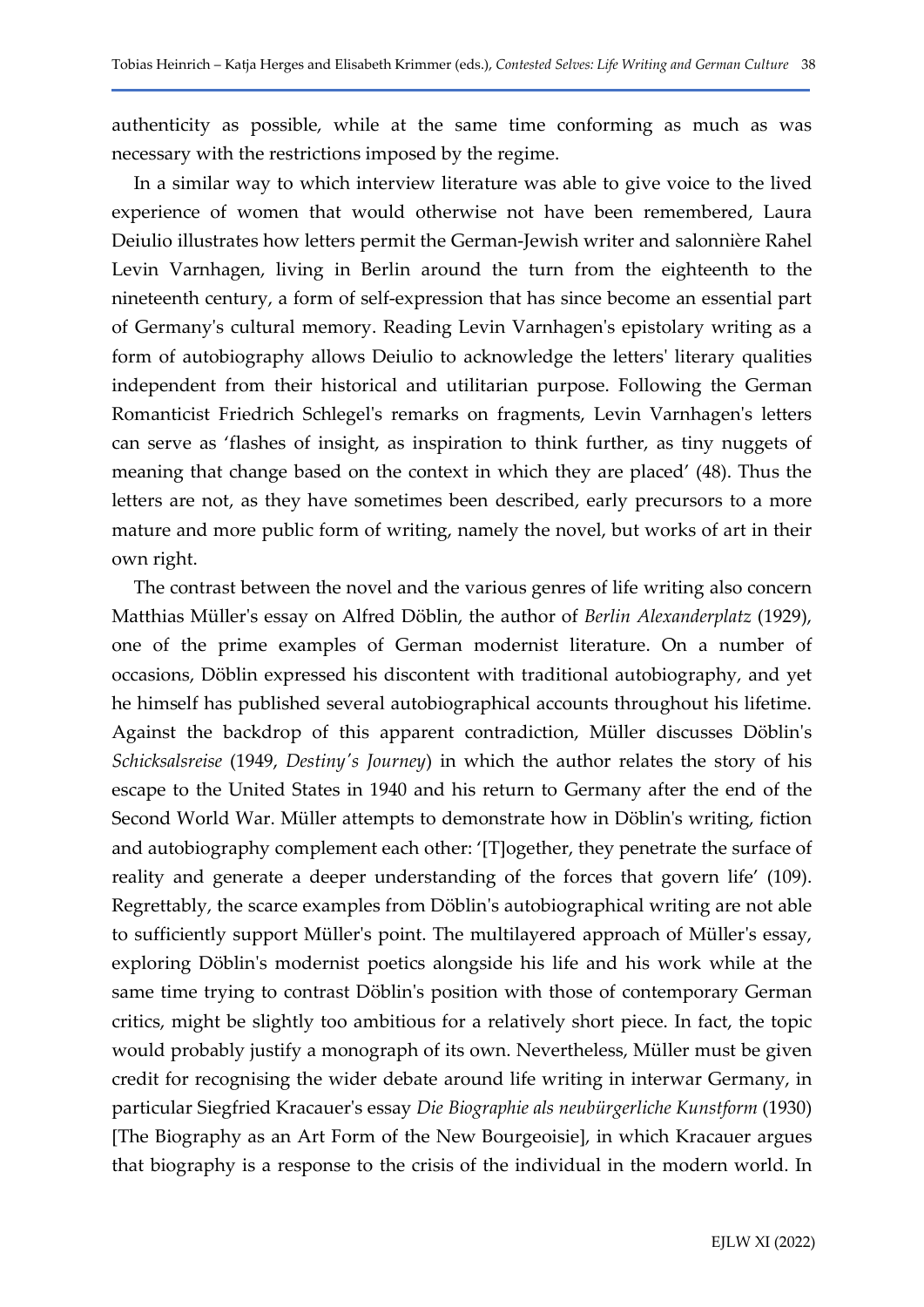authenticity as possible, while at the same time conforming as much as was necessary with the restrictions imposed by the regime.

In a similar way to which interview literature was able to give voice to the lived experience of women that would otherwise not have been remembered, Laura Deiulio illustrates how letters permit the German-Jewish writer and salonnière Rahel Levin Varnhagen, living in Berlin around the turn from the eighteenth to the nineteenth century, a form of self-expression that has since become an essential part of Germany's cultural memory. Reading Levin Varnhagen's epistolary writing as a form of autobiography allows Deiulio to acknowledge the letters' literary qualities independent from their historical and utilitarian purpose. Following the German Romanticist Friedrich Schlegel's remarks on fragments, Levin Varnhagen's letters can serve as 'flashes of insight, as inspiration to think further, as tiny nuggets of meaning that change based on the context in which they are placed' (48). Thus the letters are not, as they have sometimes been described, early precursors to a more mature and more public form of writing, namely the novel, but works of art in their own right.

The contrast between the novel and the various genres of life writing also concern Matthias Müller's essay on Alfred Döblin, the author of Berlin Alexanderplatz (1929), one of the prime examples of German modernist literature. On a number of occasions, Döblin expressed his discontent with traditional autobiography, and yet he himself has published several autobiographical accounts throughout his lifetime. Against the backdrop of this apparent contradiction, Müller discusses Döblin's Schicksalsreise (1949, Destiny's Journey) in which the author relates the story of his escape to the United States in 1940 and his return to Germany after the end of the Second World War. Müller attempts to demonstrate how in Döblin's writing, fiction and autobiography complement each other: '[T]ogether, they penetrate the surface of reality and generate a deeper understanding of the forces that govern life' (109). Regrettably, the scarce examples from Döblin's autobiographical writing are not able to sufficiently support Müller's point. The multilayered approach of Müller's essay, exploring Döblin's modernist poetics alongside his life and his work while at the same time trying to contrast Döblin's position with those of contemporary German critics, might be slightly too ambitious for a relatively short piece. In fact, the topic would probably justify a monograph of its own. Nevertheless, Müller must be given credit for recognising the wider debate around life writing in interwar Germany, in particular Siegfried Kracauer's essay Die Biographie als neubürgerliche Kunstform (1930) [The Biography as an Art Form of the New Bourgeoisie], in which Kracauer argues that biography is a response to the crisis of the individual in the modern world. In